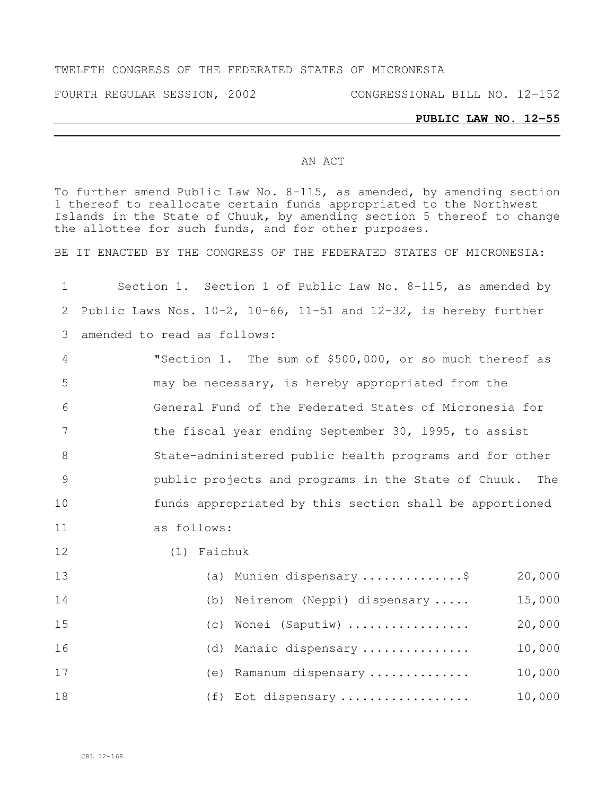#### TWELFTH CONGRESS OF THE FEDERATED STATES OF MICRONESIA

FOURTH REGULAR SESSION, 2002 CONGRESSIONAL BILL NO. 12-152

# **PUBLIC LAW NO. 12-55**

#### AN ACT

To further amend Public Law No. 8-115, as amended, by amending section thereof to reallocate certain funds appropriated to the Northwest Islands in the State of Chuuk, by amending section 5 thereof to change the allottee for such funds, and for other purposes.

BE IT ENACTED BY THE CONGRESS OF THE FEDERATED STATES OF MICRONESIA:

| $\mathbf 1$    | Section 1. Section 1 of Public Law No. 8-115, as amended by                 |
|----------------|-----------------------------------------------------------------------------|
| 2              | Public Laws Nos. $10-2$ , $10-66$ , $11-51$ and $12-32$ , is hereby further |
| 3              | amended to read as follows:                                                 |
| $\overline{4}$ | "Section 1. The sum of \$500,000, or so much thereof as                     |
| 5              | may be necessary, is hereby appropriated from the                           |
| 6              | General Fund of the Federated States of Micronesia for                      |
| 7              | the fiscal year ending September 30, 1995, to assist                        |
| $\,8\,$        | State-administered public health programs and for other                     |
| $\mathcal{G}$  | public projects and programs in the State of Chuuk. The                     |
| 10             | funds appropriated by this section shall be apportioned                     |
| 11             | as follows:                                                                 |
| 12             | (1) Faichuk                                                                 |
| 13             | 20,000<br>(a) Munien dispensary \$                                          |
| 14             | 15,000<br>Neirenom (Neppi) dispensary<br>(b)                                |
| 15             | 20,000<br>Wonei (Saputiw)<br>(C)                                            |
| 16             | 10,000<br>Manaio dispensary<br>(d)                                          |
| 17             | 10,000<br>(e) Ramanum dispensary                                            |
| 18             | 10,000<br>(f) Eot dispensary                                                |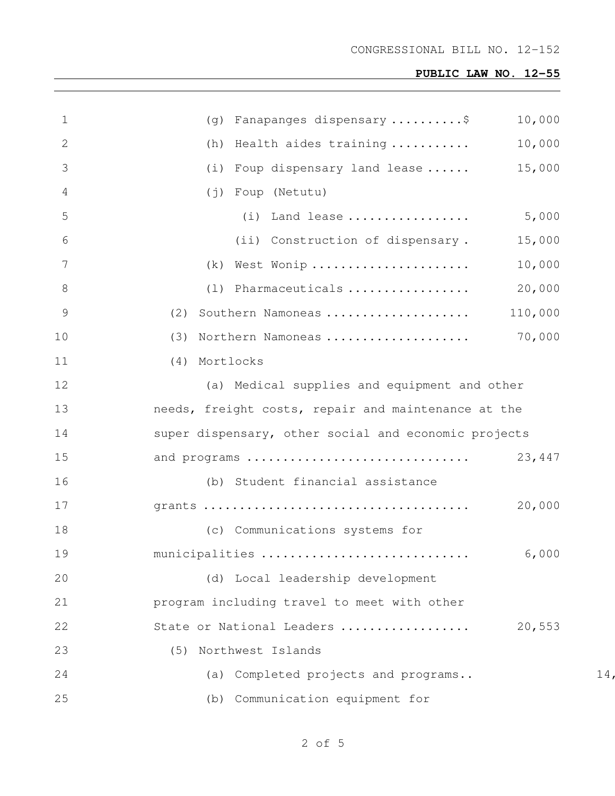#### CONGRESSIONAL BILL NO. 12-152

| $\mathbf 1$     | 10,000<br>(g) Fanapanges dispensary\$                |    |
|-----------------|------------------------------------------------------|----|
| 2               | (h) Health aides training<br>10,000                  |    |
| 3               | 15,000<br>(i) Foup dispensary land lease             |    |
| 4               | (j) Foup (Netutu)                                    |    |
| 5               | 5,000<br>(i) Land lease                              |    |
| 6               | (ii) Construction of dispensary.<br>15,000           |    |
| $7\phantom{.0}$ | (k) West Wonip<br>10,000                             |    |
| 8               | 20,000<br>(1) Pharmaceuticals                        |    |
| $\overline{9}$  | (2) Southern Namoneas<br>110,000                     |    |
| 10              | 70,000<br>(3) Northern Namoneas                      |    |
| 11              | (4) Mortlocks                                        |    |
| 12              | (a) Medical supplies and equipment and other         |    |
| 13              | needs, freight costs, repair and maintenance at the  |    |
| 14              | super dispensary, other social and economic projects |    |
| 15              | and programs<br>23,447                               |    |
| 16              | (b) Student financial assistance                     |    |
| 17              | 20,000                                               |    |
| 18              | (c) Communications systems for                       |    |
| 19              | 6,000<br>municipalities                              |    |
| 20              | (d) Local leadership development                     |    |
| 21              | program including travel to meet with other          |    |
| 22              | State or National Leaders<br>20,553                  |    |
| 23              | Northwest Islands<br>(5)                             |    |
| 24              | Completed projects and programs<br>(a)               | 14 |
| 25              | (b) Communication equipment for                      |    |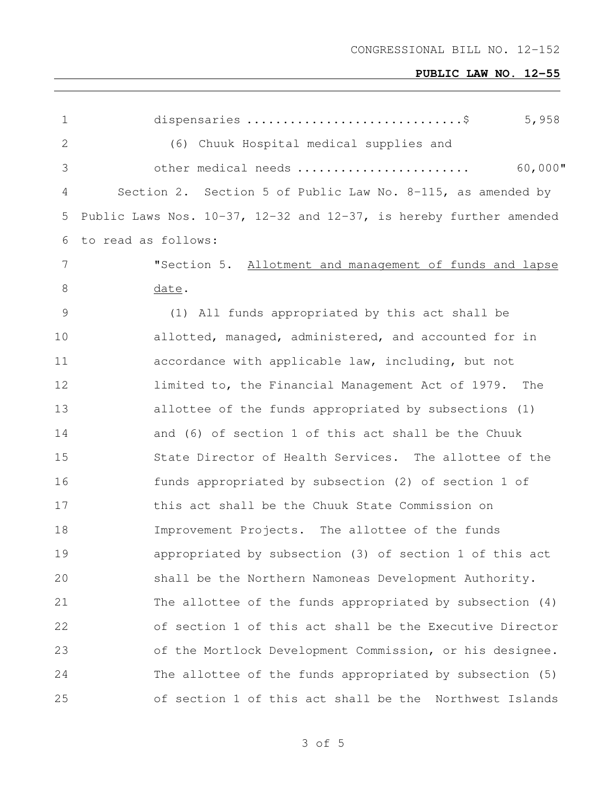| $\mathbf 1$    | 5,958<br>dispensaries \$                                                   |
|----------------|----------------------------------------------------------------------------|
| $\mathbf{2}$   | (6) Chuuk Hospital medical supplies and                                    |
| 3              | $60,000$ "<br>other medical needs                                          |
| 4              | Section 2. Section 5 of Public Law No. 8-115, as amended by                |
| 5              | Public Laws Nos. $10-37$ , $12-32$ and $12-37$ , is hereby further amended |
| 6              | to read as follows:                                                        |
| $7\phantom{.}$ | "Section 5. Allotment and management of funds and lapse                    |
| 8              | date.                                                                      |
| 9              | (1) All funds appropriated by this act shall be                            |
| 10             | allotted, managed, administered, and accounted for in                      |
| 11             | accordance with applicable law, including, but not                         |
| 12             | limited to, the Financial Management Act of 1979. The                      |
| 13             | allottee of the funds appropriated by subsections (1)                      |
| 14             | and (6) of section 1 of this act shall be the Chuuk                        |
| 15             | State Director of Health Services. The allottee of the                     |
| 16             | funds appropriated by subsection (2) of section 1 of                       |
| 17             | this act shall be the Chuuk State Commission on                            |
| 18             | Improvement Projects. The allottee of the funds                            |
| 19             | appropriated by subsection (3) of section 1 of this act                    |
| 20             | shall be the Northern Namoneas Development Authority.                      |
| 21             | The allottee of the funds appropriated by subsection $(4)$                 |
| 22             | of section 1 of this act shall be the Executive Director                   |
| 23             | of the Mortlock Development Commission, or his designee.                   |
| 24             | The allottee of the funds appropriated by subsection (5)                   |
| 25             | of section 1 of this act shall be the<br>Northwest Islands                 |

of 5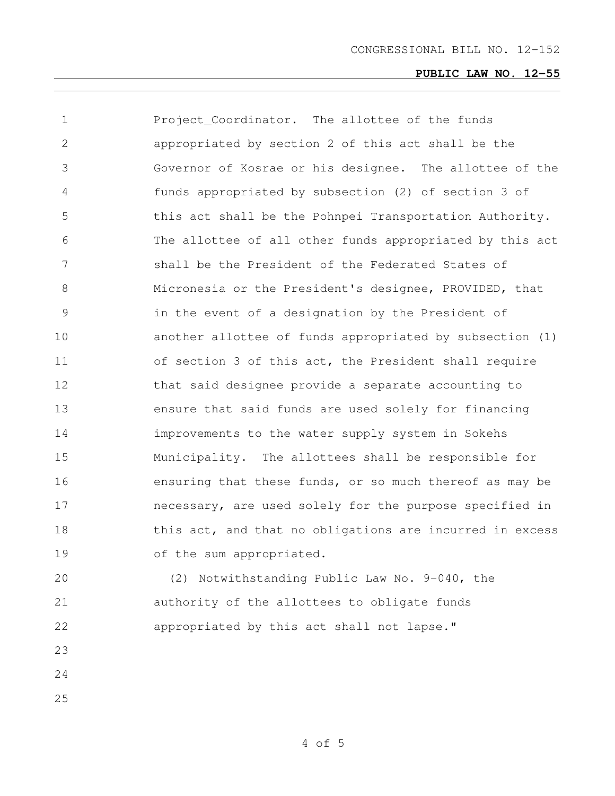| 1             | Project Coordinator. The allottee of the funds           |
|---------------|----------------------------------------------------------|
| 2             | appropriated by section 2 of this act shall be the       |
| 3             | Governor of Kosrae or his designee. The allottee of the  |
| 4             | funds appropriated by subsection (2) of section 3 of     |
| 5             | this act shall be the Pohnpei Transportation Authority.  |
| 6             | The allottee of all other funds appropriated by this act |
| 7             | shall be the President of the Federated States of        |
| 8             | Micronesia or the President's designee, PROVIDED, that   |
| $\mathcal{G}$ | in the event of a designation by the President of        |
| 10            | another allottee of funds appropriated by subsection (1) |
| 11            | of section 3 of this act, the President shall require    |
| 12            | that said designee provide a separate accounting to      |
| 13            | ensure that said funds are used solely for financing     |
| 14            | improvements to the water supply system in Sokehs        |
| 15            | Municipality. The allottees shall be responsible for     |
| 16            | ensuring that these funds, or so much thereof as may be  |
| 17            | necessary, are used solely for the purpose specified in  |
| 18            | this act, and that no obligations are incurred in excess |
| 19            | of the sum appropriated.                                 |
| 20            | (2) Notwithstanding Public Law No. 9-040, the            |
| 21            | authority of the allottees to obligate funds             |
| 22            | appropriated by this act shall not lapse."               |
| 23            |                                                          |
| 24            |                                                          |
| 25            |                                                          |